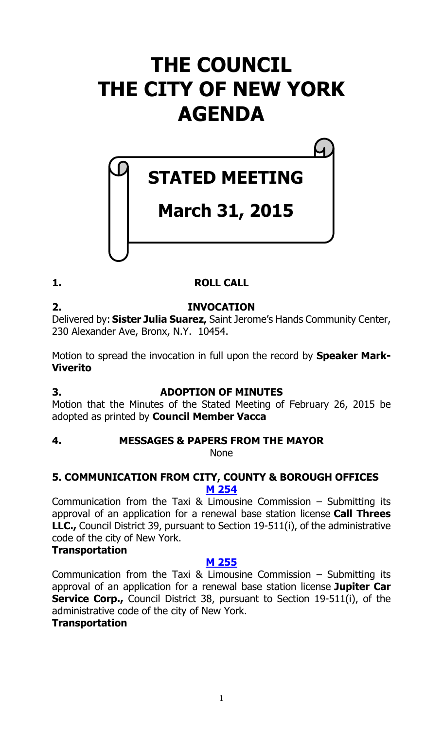# **THE COUNCIL THE CITY OF NEW YORK AGENDA**

# **STATED MEETING**

# **March 31, 2015**

# **1. ROLL CALL**

# **2. INVOCATION**

Delivered by: **Sister Julia Suarez,** Saint Jerome's Hands Community Center, 230 Alexander Ave, Bronx, N.Y. 10454.

Motion to spread the invocation in full upon the record by **Speaker Mark-Viverito**

# **3. ADOPTION OF MINUTES**

Motion that the Minutes of the Stated Meeting of February 26, 2015 be adopted as printed by **Council Member Vacca**

# **4. MESSAGES & PAPERS FROM THE MAYOR**

None

# **5. COMMUNICATION FROM CITY, COUNTY & BOROUGH OFFICES M [254](http://legistar.council.nyc.gov/LegislationDetail.aspx?ID=2253139&GUID=789AC266-4424-4C92-9439-F35D68EF1BA3&Options=ID|Text|&Search=)**

Communication from the Taxi & Limousine Commission – Submitting its approval of an application for a renewal base station license **Call Threes LLC.,** Council District 39, pursuant to Section 19-511(i), of the administrative code of the city of New York.

# **Transportation**

# **M [255](http://legistar.council.nyc.gov/LegislationDetail.aspx?ID=2253140&GUID=1293BA1E-8F34-4F93-AF28-9500B669C9B9&Options=ID|Text|&Search=)**

Communication from the Taxi & Limousine Commission – Submitting its approval of an application for a renewal base station license **Jupiter Car Service Corp.,** Council District 38, pursuant to Section 19-511(i), of the administrative code of the city of New York.

# **Transportation**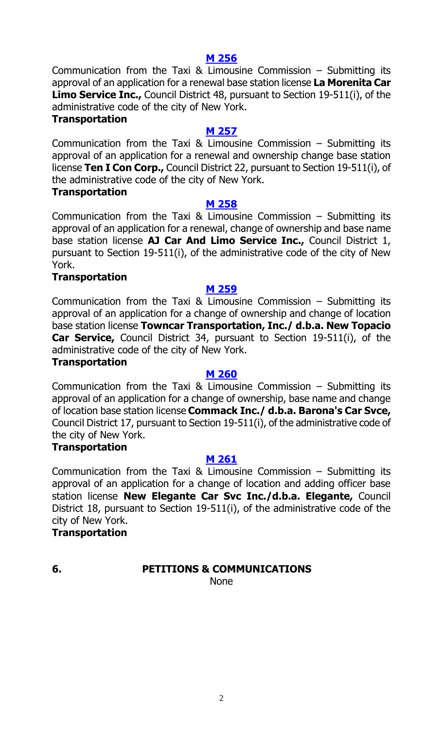**M [256](http://legistar.council.nyc.gov/LegislationDetail.aspx?ID=2253141&GUID=A49F2DF0-31BA-4875-8B30-EDA359D253FC&Options=ID|Text|&Search=)** Communication from the Taxi & Limousine Commission – Submitting its approval of an application for a renewal base station license **La Morenita Car Limo Service Inc.,** Council District 48, pursuant to Section 19-511(i), of the administrative code of the city of New York.

# **Transportation**

# **M [257](http://legistar.council.nyc.gov/LegislationDetail.aspx?ID=2253142&GUID=CE25547D-C099-4096-B2F5-2D6689A9B2C6&Options=ID|Text|&Search=)**

Communication from the Taxi & Limousine Commission – Submitting its approval of an application for a renewal and ownership change base station license **Ten I Con Corp.,** Council District 22, pursuant to Section 19-511(i), of the administrative code of the city of New York.

#### **Transportation**

#### **M [258](http://legistar.council.nyc.gov/LegislationDetail.aspx?ID=2253143&GUID=4A0C793E-A0F5-4F72-8636-1763B6E6C4E4&Options=ID|Text|&Search=)**

Communication from the Taxi & Limousine Commission  $-$  Submitting its approval of an application for a renewal, change of ownership and base name base station license **AJ Car And Limo Service Inc.,** Council District 1, pursuant to Section 19-511(i), of the administrative code of the city of New York.

# **Transportation**

# **M [259](http://legistar.council.nyc.gov/LegislationDetail.aspx?ID=2253144&GUID=A700766D-1A3D-4FB6-ACA0-D96B6A52A67B&Options=ID|Text|&Search=)**

Communication from the Taxi & Limousine Commission  $-$  Submitting its approval of an application for a change of ownership and change of location base station license **Towncar Transportation, Inc./ d.b.a. New Topacio Car Service,** Council District 34, pursuant to Section 19-511(i), of the administrative code of the city of New York.

# **Transportation**

# **M [260](http://legistar.council.nyc.gov/LegislationDetail.aspx?ID=2253145&GUID=BE6D93D4-603C-463F-80DF-572DF5C99D63&Options=ID|Text|&Search=)**

Communication from the Taxi & Limousine Commission – Submitting its approval of an application for a change of ownership, base name and change of location base station license **Commack Inc./ d.b.a. Barona's Car Svce,** Council District 17, pursuant to Section 19-511(i), of the administrative code of the city of New York.

# **Transportation**

# **M [261](http://legistar.council.nyc.gov/LegislationDetail.aspx?ID=2253146&GUID=B5B44450-1EE6-404E-8445-639BA5059655&Options=ID|Text|&Search=)**

Communication from the Taxi & Limousine Commission – Submitting its approval of an application for a change of location and adding officer base station license **New Elegante Car Svc Inc./d.b.a. Elegante,** Council District 18, pursuant to Section 19-511(i), of the administrative code of the city of New York.

# **Transportation**

# **6. PETITIONS & COMMUNICATIONS**

None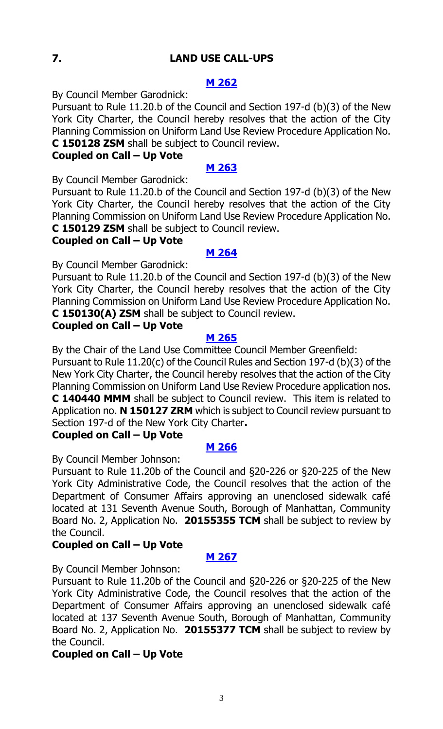# **7. LAND USE CALL-UPS**

# **M [262](http://legistar.council.nyc.gov/LegislationDetail.aspx?ID=2253135&GUID=F0BC509D-864D-485E-90A1-D472A869804F&Options=ID|Text|&Search=)**

By Council Member Garodnick:

Pursuant to Rule 11.20.b of the Council and Section 197-d (b)(3) of the New York City Charter, the Council hereby resolves that the action of the City Planning Commission on Uniform Land Use Review Procedure Application No. **C 150128 ZSM** shall be subject to Council review.

# **Coupled on Call – Up Vote**

#### **M [263](http://legistar.council.nyc.gov/LegislationDetail.aspx?ID=2253136&GUID=BE40AA91-FC85-4409-BA0E-E1BF6070950C&Options=ID|Text|&Search=)**

By Council Member Garodnick:

Pursuant to Rule 11.20.b of the Council and Section 197-d (b)(3) of the New York City Charter, the Council hereby resolves that the action of the City Planning Commission on Uniform Land Use Review Procedure Application No. **C 150129 ZSM** shall be subject to Council review.

# **Coupled on Call – Up Vote**

#### **M [264](http://legistar.council.nyc.gov/LegislationDetail.aspx?ID=2253137&GUID=8A2202BC-380F-4245-AA67-DD7F97C98BF9&Options=ID|Text|&Search=)**

By Council Member Garodnick:

Pursuant to Rule 11.20.b of the Council and Section 197-d (b)(3) of the New York City Charter, the Council hereby resolves that the action of the City Planning Commission on Uniform Land Use Review Procedure Application No. **C 150130(A) ZSM** shall be subject to Council review.

# **Coupled on Call – Up Vote**

#### **M [265](http://legistar.council.nyc.gov/LegislationDetail.aspx?ID=2253132&GUID=707CC117-FC41-4DD8-AD2E-5CACA29D80C8&Options=ID|Text|&Search=)**

By the Chair of the Land Use Committee Council Member Greenfield: Pursuant to Rule 11.20(c) of the Council Rules and Section 197-d (b)(3) of the New York City Charter, the Council hereby resolves that the action of the City Planning Commission on Uniform Land Use Review Procedure application nos.

**C 140440 MMM** shall be subject to Council review. This item is related to Application no. **N 150127 ZRM** which is subject to Council review pursuant to Section 197-d of the New York City Charter**.**

# **Coupled on Call – Up Vote**

#### **M [266](http://legistar.council.nyc.gov/LegislationDetail.aspx?ID=2253133&GUID=6B9C85F3-7FEB-4CEF-AA91-23EE80A3CF8F&Options=ID|Text|&Search=)**

By Council Member Johnson:

Pursuant to Rule 11.20b of the Council and §20-226 or §20-225 of the New York City Administrative Code, the Council resolves that the action of the Department of Consumer Affairs approving an unenclosed sidewalk café located at 131 Seventh Avenue South, Borough of Manhattan, Community Board No. 2, Application No. **20155355 TCM** shall be subject to review by the Council.

# **Coupled on Call – Up Vote**

# **M [267](http://legistar.council.nyc.gov/LegislationDetail.aspx?ID=2253134&GUID=A9E3E484-35F9-42C7-BB68-29322CC01AA2&Options=ID|Text|&Search=)**

By Council Member Johnson:

Pursuant to Rule 11.20b of the Council and §20-226 or §20-225 of the New York City Administrative Code, the Council resolves that the action of the Department of Consumer Affairs approving an unenclosed sidewalk café located at 137 Seventh Avenue South, Borough of Manhattan, Community Board No. 2, Application No. **20155377 TCM** shall be subject to review by the Council.

# **Coupled on Call – Up Vote**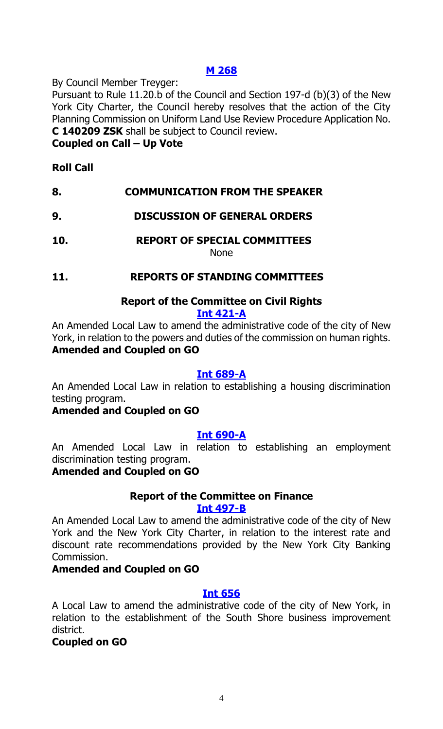# **M [268](http://legistar.council.nyc.gov/LegislationDetail.aspx?ID=2253138&GUID=DACD4487-F7D9-4705-8B59-CB45A7E54D29&Options=ID|Text|&Search=)**

By Council Member Treyger:

Pursuant to Rule 11.20.b of the Council and Section 197-d (b)(3) of the New York City Charter, the Council hereby resolves that the action of the City Planning Commission on Uniform Land Use Review Procedure Application No. **C 140209 ZSK** shall be subject to Council review.

#### **Coupled on Call – Up Vote**

# **Roll Call**

# **8. COMMUNICATION FROM THE SPEAKER**

# **9. DISCUSSION OF GENERAL ORDERS**

**10. REPORT OF SPECIAL COMMITTEES** None

# **11. REPORTS OF STANDING COMMITTEES**

# **Report of the Committee on Civil Rights**

#### **[Int 421-A](http://legistar.council.nyc.gov/LegislationDetail.aspx?ID=1853964&GUID=54D1BBA3-4C90-45DE-A33C-3C0CB00068A4&Options=&Search=)**

An Amended Local Law to amend the administrative code of the city of New York, in relation to the powers and duties of the commission on human rights. **Amended and Coupled on GO**

#### **[Int 689-A](http://legistar.council.nyc.gov/LegislationDetail.aspx?ID=2230905&GUID=557FA963-BF21-4FF5-9877-2F078E3FFA3E&Options=&Search=)**

An Amended Local Law in relation to establishing a housing discrimination testing program.

# **Amended and Coupled on GO**

#### **[Int 690-A](http://legistar.council.nyc.gov/LegislationDetail.aspx?ID=2230888&GUID=2A43FB60-8D5F-47F4-B3CE-DEC025C79915&Options=&Search=)**

An Amended Local Law in relation to establishing an employment discrimination testing program.

# **Amended and Coupled on GO**

# **Report of the Committee on Finance**

#### **[Int 497-B](http://legistar.council.nyc.gov/LegislationDetail.aspx?ID=1937623&GUID=F351651F-912B-45FA-9F28-7319C89F8799&Options=&Search=)**

An Amended Local Law to amend the administrative code of the city of New York and the New York City Charter, in relation to the interest rate and discount rate recommendations provided by the New York City Banking Commission.

#### **Amended and Coupled on GO**

# **[Int 656](http://legistar.council.nyc.gov/LegislationDetail.aspx?ID=2168445&GUID=20A0E2A4-6AA8-40CA-9B2A-FAA51E02465B&Options=&Search=)**

A Local Law to amend the administrative code of the city of New York, in relation to the establishment of the South Shore business improvement district.

# **Coupled on GO**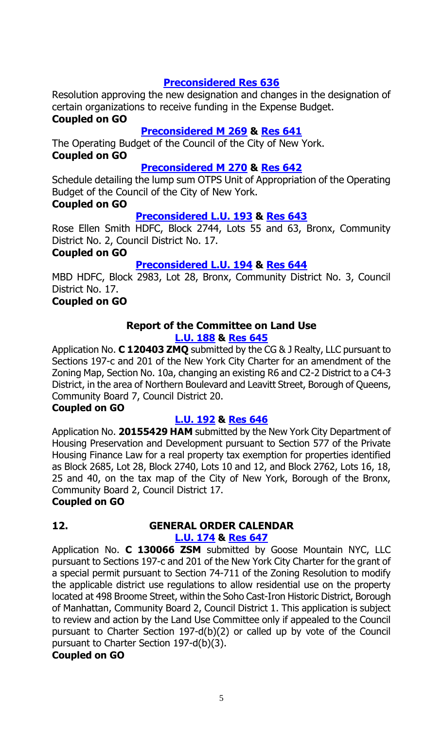# **[Preconsidered Res](http://legistar.council.nyc.gov/LegislationDetail.aspx?ID=2249309&GUID=0B2DFB98-1D7F-4B50-A1A6-A5F4298399B2&Options=&Search=) 636**

Resolution approving the new designation and changes in the designation of certain organizations to receive funding in the Expense Budget.

# **Coupled on GO**

# **[Preconsidered M](http://legistar.council.nyc.gov/LegislationDetail.aspx?ID=2250020&GUID=A3CC7EF9-3C21-437D-A9C2-968A6F325667&Options=&Search=) 269 & [Res 641](http://legistar.council.nyc.gov/LegislationDetail.aspx?ID=2253158&GUID=D1F5819A-3E94-4D90-A971-B6094AE71226&Options=&Search=)**

The Operating Budget of the Council of the City of New York. **Coupled on GO**

# **[Preconsidered M 270](http://legistar.council.nyc.gov/LegislationDetail.aspx?ID=2250022&GUID=F659C761-72F5-4940-8365-671D96BB86FC&Options=&Search=) & [Res 642](http://legistar.council.nyc.gov/LegislationDetail.aspx?ID=2253159&GUID=A2ADC6AD-0CCE-436A-8723-47BC84811892&Options=&Search=)**

Schedule detailing the lump sum OTPS Unit of Appropriation of the Operating Budget of the Council of the City of New York.

#### **Coupled on GO**

# **[Preconsidered L.U. 193](http://legistar.council.nyc.gov/LegislationDetail.aspx?ID=2249318&GUID=65AE20F1-2446-4BB6-9890-794C2BB06ED7&Options=&Search=) & [Res 643](http://legistar.council.nyc.gov/LegislationDetail.aspx?ID=2253157&GUID=98613C98-3528-4ABD-98E0-7AD333E4D96E&Options=&Search=)**

Rose Ellen Smith HDFC, Block 2744, Lots 55 and 63, Bronx, Community District No. 2, Council District No. 17.

# **Coupled on GO**

# **[Preconsidered L.U. 194](http://legistar.council.nyc.gov/LegislationDetail.aspx?ID=2249317&GUID=0D17F0C2-ABA3-4E17-B938-179659A4610D&Options=&Search=) & [Res 644](http://legistar.council.nyc.gov/LegislationDetail.aspx?ID=2253156&GUID=1016210D-CED9-4829-A7AE-5BC9C7D1C8DC&Options=&Search=)**

MBD HDFC, Block 2983, Lot 28, Bronx, Community District No. 3, Council District No. 17.

# **Coupled on GO**

#### **Report of the Committee on Land Use [L.U. 188](http://legistar.council.nyc.gov/LegislationDetail.aspx?ID=2240511&GUID=BECF24AF-993B-4C80-A205-7999A59688FD&Options=&Search=) & [Res](http://legistar.council.nyc.gov/LegislationDetail.aspx?ID=2250031&GUID=AFE5E9E5-7917-4E59-873D-D86A779BF563&Options=&Search=) 645**

Application No. **C 120403 ZMQ** submitted by the CG & J Realty, LLC pursuant to Sections 197-c and 201 of the New York City Charter for an amendment of the Zoning Map, Section No. 10a, changing an existing R6 and C2-2 District to a C4-3 District, in the area of Northern Boulevard and Leavitt Street, Borough of Queens, Community Board 7, Council District 20.

# **Coupled on GO**

# **[L.U. 192](http://legistar.council.nyc.gov/LegislationDetail.aspx?ID=2240513&GUID=CFF7CEE9-27A8-40E4-80FE-88E27FA81B29&Options=&Search=) & [Res](http://legistar.council.nyc.gov/LegislationDetail.aspx?ID=2250032&GUID=7D9E76B1-060E-4725-BEBC-67F2D21EC6A7&Options=&Search=) 646**

Application No. **20155429 HAM** submitted by the New York City Department of Housing Preservation and Development pursuant to Section 577 of the Private Housing Finance Law for a real property tax exemption for properties identified as Block 2685, Lot 28, Block 2740, Lots 10 and 12, and Block 2762, Lots 16, 18, 25 and 40, on the tax map of the City of New York, Borough of the Bronx, Community Board 2, Council District 17.

# **Coupled on GO**

# **12. GENERAL ORDER CALENDAR**

# **[L.U. 174](http://legistar.council.nyc.gov/LegislationDetail.aspx?ID=2170527&GUID=929E2356-B938-4E69-8B0C-AFE9EB0897ED&Options=&Search=) & [Res](http://legistar.council.nyc.gov/LegislationDetail.aspx?ID=2239761&GUID=397B616D-2D31-4FD1-8C07-A0520A8C4963&Options=&Search=) 647**

Application No. **C 130066 ZSM** submitted by Goose Mountain NYC, LLC pursuant to Sections 197-c and 201 of the New York City Charter for the grant of a special permit pursuant to Section 74-711 of the Zoning Resolution to modify the applicable district use regulations to allow residential use on the property located at 498 Broome Street, within the Soho Cast-Iron Historic District, Borough of Manhattan, Community Board 2, Council District 1. This application is subject to review and action by the Land Use Committee only if appealed to the Council pursuant to Charter Section 197-d(b)(2) or called up by vote of the Council pursuant to Charter Section 197-d(b)(3).

# **Coupled on GO**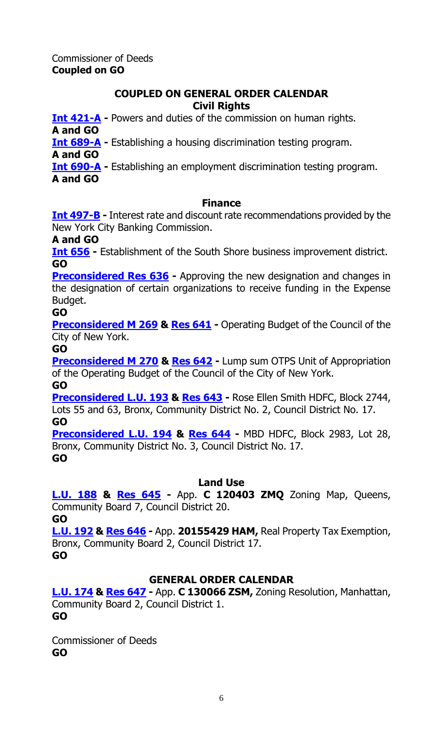# **COUPLED ON GENERAL ORDER CALENDAR Civil Rights**

**[Int 421-A](http://legistar.council.nyc.gov/LegislationDetail.aspx?ID=1853964&GUID=54D1BBA3-4C90-45DE-A33C-3C0CB00068A4&Options=&Search=) -** Powers and duties of the commission on human rights. **A and GO**

**[Int 689-A](http://legistar.council.nyc.gov/LegislationDetail.aspx?ID=2230905&GUID=557FA963-BF21-4FF5-9877-2F078E3FFA3E&Options=&Search=) -** Establishing a housing discrimination testing program.

**A and GO**

**[Int 690-A](http://legistar.council.nyc.gov/LegislationDetail.aspx?ID=2230888&GUID=2A43FB60-8D5F-47F4-B3CE-DEC025C79915&Options=&Search=) -** Establishing an employment discrimination testing program.

**A and GO**

# **Finance**

**[Int 497-B](http://legistar.council.nyc.gov/LegislationDetail.aspx?ID=1937623&GUID=F351651F-912B-45FA-9F28-7319C89F8799&Options=&Search=) -** Interest rate and discount rate recommendations provided by the New York City Banking Commission.

**A and GO**

**[Int 656](http://legistar.council.nyc.gov/LegislationDetail.aspx?ID=2168445&GUID=20A0E2A4-6AA8-40CA-9B2A-FAA51E02465B&Options=&Search=) -** Establishment of the South Shore business improvement district. **GO**

**[Preconsidered Res](http://legistar.council.nyc.gov/LegislationDetail.aspx?ID=2249309&GUID=0B2DFB98-1D7F-4B50-A1A6-A5F4298399B2&Options=&Search=) 636 -** Approving the new designation and changes in the designation of certain organizations to receive funding in the Expense Budget.

# **GO**

**[Preconsidered M 269](http://legistar.council.nyc.gov/LegislationDetail.aspx?ID=2250020&GUID=A3CC7EF9-3C21-437D-A9C2-968A6F325667&Options=&Search=) & [Res 641](http://legistar.council.nyc.gov/LegislationDetail.aspx?ID=2253158&GUID=D1F5819A-3E94-4D90-A971-B6094AE71226&Options=&Search=)** - Operating Budget of the Council of the City of New York.

**GO**

**[Preconsidered M 270](http://legistar.council.nyc.gov/LegislationDetail.aspx?ID=2250022&GUID=F659C761-72F5-4940-8365-671D96BB86FC&Options=&Search=) & [Res 642](http://legistar.council.nyc.gov/LegislationDetail.aspx?ID=2253159&GUID=A2ADC6AD-0CCE-436A-8723-47BC84811892&Options=&Search=) - Lump sum OTPS Unit of Appropriation** of the Operating Budget of the Council of the City of New York. **GO**

**[Preconsidered L.U. 193](http://legistar.council.nyc.gov/LegislationDetail.aspx?ID=2249318&GUID=65AE20F1-2446-4BB6-9890-794C2BB06ED7&Options=&Search=) & [Res 643](http://legistar.council.nyc.gov/LegislationDetail.aspx?ID=2253157&GUID=98613C98-3528-4ABD-98E0-7AD333E4D96E&Options=&Search=) -** Rose Ellen Smith HDFC, Block 2744, Lots 55 and 63, Bronx, Community District No. 2, Council District No. 17. **GO**

**[Preconsidered L.U. 194](http://legistar.council.nyc.gov/LegislationDetail.aspx?ID=2249317&GUID=0D17F0C2-ABA3-4E17-B938-179659A4610D&Options=&Search=) & [Res 644](http://legistar.council.nyc.gov/LegislationDetail.aspx?ID=2253156&GUID=1016210D-CED9-4829-A7AE-5BC9C7D1C8DC&Options=&Search=) -** MBD HDFC, Block 2983, Lot 28, Bronx, Community District No. 3, Council District No. 17. **GO**

# **Land Use**

**[L.U. 188](http://legistar.council.nyc.gov/LegislationDetail.aspx?ID=2240511&GUID=BECF24AF-993B-4C80-A205-7999A59688FD&Options=&Search=) & [Res](http://legistar.council.nyc.gov/LegislationDetail.aspx?ID=2250031&GUID=AFE5E9E5-7917-4E59-873D-D86A779BF563&Options=&Search=) 645 -** App. **C 120403 ZMQ** Zoning Map, Queens, Community Board 7, Council District 20. **GO**

**[L.U. 192](http://legistar.council.nyc.gov/LegislationDetail.aspx?ID=2240513&GUID=CFF7CEE9-27A8-40E4-80FE-88E27FA81B29&Options=&Search=) & [Res](http://legistar.council.nyc.gov/LegislationDetail.aspx?ID=2250032&GUID=7D9E76B1-060E-4725-BEBC-67F2D21EC6A7&Options=&Search=) 646 -** App. **20155429 HAM,** Real Property Tax Exemption, Bronx, Community Board 2, Council District 17. **GO**

# **GENERAL ORDER CALENDAR**

**[L.U. 174](http://legistar.council.nyc.gov/LegislationDetail.aspx?ID=2170527&GUID=929E2356-B938-4E69-8B0C-AFE9EB0897ED&Options=&Search=) & [Res](http://legistar.council.nyc.gov/LegislationDetail.aspx?ID=2239761&GUID=397B616D-2D31-4FD1-8C07-A0520A8C4963&Options=&Search=) 647 -** App. **C 130066 ZSM,** Zoning Resolution, Manhattan, Community Board 2, Council District 1. **GO**

Commissioner of Deeds **GO**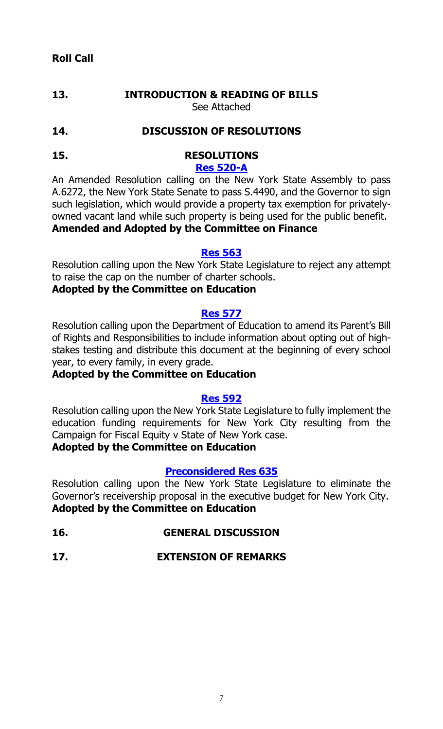# **13. INTRODUCTION & READING OF BILLS** See Attached

# **14. DISCUSSION OF RESOLUTIONS**

## **15. RESOLUTIONS [Res 520-A](http://legistar.council.nyc.gov/LegislationDetail.aspx?ID=2103595&GUID=4D251DD4-C9F8-4311-9563-74D8E86E0D77&Options=&Search=)**

An Amended Resolution calling on the New York State Assembly to pass A.6272, the New York State Senate to pass S.4490, and the Governor to sign such legislation, which would provide a property tax exemption for privatelyowned vacant land while such property is being used for the public benefit. **Amended and Adopted by the Committee on Finance**

#### **[Res 563](http://legistar.council.nyc.gov/LegislationDetail.aspx?ID=2170481&GUID=41506E6F-2F33-49B7-AA16-6E63327C2862&Options=&Search=)**

Resolution calling upon the New York State Legislature to reject any attempt to raise the cap on the number of charter schools.

# **Adopted by the Committee on Education**

#### **[Res 577](http://legistar.council.nyc.gov/LegislationDetail.aspx?ID=2170518&GUID=84779EFF-5B75-4A6E-8835-D8877BB635B2&Options=&Search=)**

Resolution calling upon the Department of Education to amend its Parent's Bill of Rights and Responsibilities to include information about opting out of highstakes testing and distribute this document at the beginning of every school year, to every family, in every grade.

# **Adopted by the Committee on Education**

# **[Res 592](http://legistar.council.nyc.gov/LegislationDetail.aspx?ID=2230894&GUID=23D74B04-F5AA-4429-9DCC-169D5B04003A&Options=&Search=)**

Resolution calling upon the New York State Legislature to fully implement the education funding requirements for New York City resulting from the Campaign for Fiscal Equity v State of New York case.

# **Adopted by the Committee on Education**

# **[Preconsidered Res](http://legistar.council.nyc.gov/LegislationDetail.aspx?ID=2241476&GUID=8844F03A-E69C-445E-831C-B785E4CE9743&Options=&Search=) 635**

Resolution calling upon the New York State Legislature to eliminate the Governor's receivership proposal in the executive budget for New York City. **Adopted by the Committee on Education**

**16. GENERAL DISCUSSION**

# **17. EXTENSION OF REMARKS**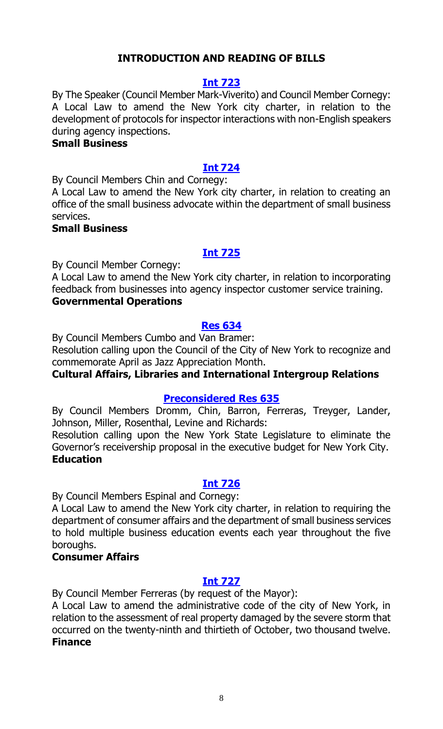# **INTRODUCTION AND READING OF BILLS**

## **[Int 723](http://legistar.council.nyc.gov/LegislationDetail.aspx?ID=2253275&GUID=E2F69B3A-F58D-411D-A488-4DF4A702C907&Options=&Search=)**

By The Speaker (Council Member Mark-Viverito) and Council Member Cornegy: A Local Law to amend the New York city charter, in relation to the development of protocols for inspector interactions with non-English speakers during agency inspections.

#### **Small Business**

#### **Int [724](http://legistar.council.nyc.gov/LegislationDetail.aspx?ID=2253274&GUID=ABCF769D-418C-44C8-9F80-F6DE3EF528AD&Options=&Search=)**

By Council Members Chin and Cornegy:

A Local Law to amend the New York city charter, in relation to creating an office of the small business advocate within the department of small business services.

#### **Small Business**

#### **[Int 725](http://legistar.council.nyc.gov/LegislationDetail.aspx?ID=2253287&GUID=9F0BFAA8-C83A-4698-9E63-2A410C389640&Options=&Search=)**

By Council Member Cornegy:

A Local Law to amend the New York city charter, in relation to incorporating feedback from businesses into agency inspector customer service training. **Governmental Operations**

#### **[Res 634](http://legistar.council.nyc.gov/LegislationDetail.aspx?ID=2253280&GUID=556D2FCF-6AF4-4F31-927D-3C8AF30B0146&Options=&Search=)**

By Council Members Cumbo and Van Bramer:

Resolution calling upon the Council of the City of New York to recognize and commemorate April as Jazz Appreciation Month.

# **Cultural Affairs, Libraries and International Intergroup Relations**

# **[Preconsidered Res 635](http://legistar.council.nyc.gov/LegislationDetail.aspx?ID=2241476&GUID=8844F03A-E69C-445E-831C-B785E4CE9743&Options=&Search=)**

By Council Members Dromm, Chin, Barron, Ferreras, Treyger, Lander, Johnson, Miller, Rosenthal, Levine and Richards:

Resolution calling upon the New York State Legislature to eliminate the Governor's receivership proposal in the executive budget for New York City. **Education**

#### **[Int 726](http://legistar.council.nyc.gov/LegislationDetail.aspx?ID=2253273&GUID=BBB1B769-6F2F-4AA9-B4DC-8DC210350D81&Options=&Search=)**

By Council Members Espinal and Cornegy:

A Local Law to amend the New York city charter, in relation to requiring the department of consumer affairs and the department of small business services to hold multiple business education events each year throughout the five boroughs.

#### **Consumer Affairs**

#### **[Int 727](http://legistar.council.nyc.gov/LegislationDetail.aspx?ID=2253288&GUID=141EF274-7E7C-46D2-8DC9-6D4DD88782D1&Options=&Search=)**

By Council Member Ferreras (by request of the Mayor):

A Local Law to amend the administrative code of the city of New York, in relation to the assessment of real property damaged by the severe storm that occurred on the twenty-ninth and thirtieth of October, two thousand twelve. **Finance**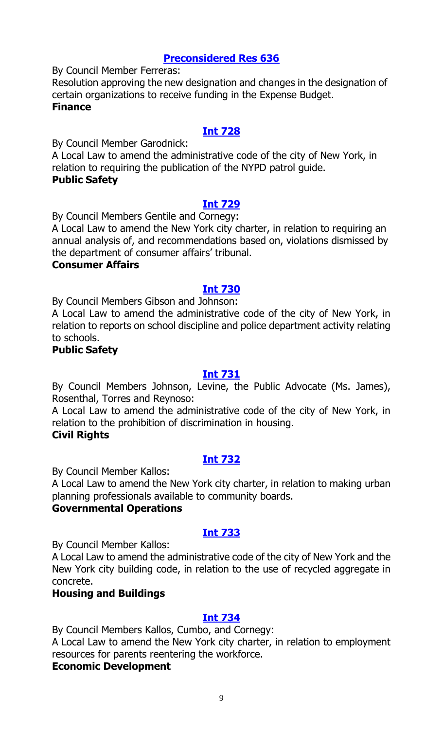# **[Preconsidered Res 636](http://legistar.council.nyc.gov/LegislationDetail.aspx?ID=2249309&GUID=0B2DFB98-1D7F-4B50-A1A6-A5F4298399B2&Options=&Search=)**

By Council Member Ferreras:

Resolution approving the new designation and changes in the designation of certain organizations to receive funding in the Expense Budget. **Finance**

# **[Int 728](http://legistar.council.nyc.gov/LegislationDetail.aspx?ID=2253285&GUID=9AB6D2CA-2AC6-42A0-832A-45662D092016&Options=&Search=)**

By Council Member Garodnick:

A Local Law to amend the administrative code of the city of New York, in relation to requiring the publication of the NYPD patrol guide.

# **Public Safety**

# **[Int 729](http://legistar.council.nyc.gov/LegislationDetail.aspx?ID=2253276&GUID=5827C3A1-892C-443C-BC53-1BD9D405FF8B&Options=&Search=)**

By Council Members Gentile and Cornegy:

A Local Law to amend the New York city charter, in relation to requiring an annual analysis of, and recommendations based on, violations dismissed by the department of consumer affairs' tribunal.

#### **Consumer Affairs**

# **[Int 730](http://legistar.council.nyc.gov/LegislationDetail.aspx?ID=2253272&GUID=9BACC627-DB3A-455C-861E-9CE4C35AFAAC&Options=&Search=)**

By Council Members Gibson and Johnson:

A Local Law to amend the administrative code of the city of New York, in relation to reports on school discipline and police department activity relating to schools.

### **Public Safety**

# **[Int 731](http://legistar.council.nyc.gov/LegislationDetail.aspx?ID=2253278&GUID=3F61B8B0-BC08-4A08-9156-CDCF6BDB63C4&Options=&Search=)**

By Council Members Johnson, Levine, the Public Advocate (Ms. James), Rosenthal, Torres and Reynoso:

A Local Law to amend the administrative code of the city of New York, in relation to the prohibition of discrimination in housing.

# **Civil Rights**

# **[Int 732](http://legistar.council.nyc.gov/LegislationDetail.aspx?ID=2253267&GUID=22426D1F-A1EE-47AE-9437-448C16F94636&Options=&Search=)**

By Council Member Kallos:

A Local Law to amend the New York city charter, in relation to making urban planning professionals available to community boards.

# **Governmental Operations**

# **[Int 733](http://legistar.council.nyc.gov/LegislationDetail.aspx?ID=2253266&GUID=8380BE5B-765B-4457-AB96-77E1600432D9&Options=&Search=)**

By Council Member Kallos:

A Local Law to amend the administrative code of the city of New York and the New York city building code, in relation to the use of recycled aggregate in concrete.

# **Housing and Buildings**

# **[Int 734](http://legistar.council.nyc.gov/LegislationDetail.aspx?ID=2253268&GUID=1FE201B3-518F-46D0-B310-045B5347E0C2&Options=&Search=)**

By Council Members Kallos, Cumbo, and Cornegy:

A Local Law to amend the New York city charter, in relation to employment resources for parents reentering the workforce.

# **Economic Development**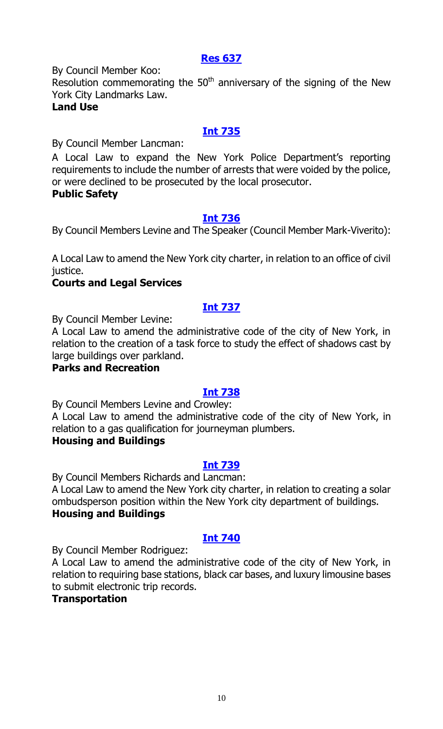# **[Res 637](http://legistar.council.nyc.gov/LegislationDetail.aspx?ID=2253284&GUID=66F7D046-4C58-40B6-8E8D-1BCDC01CC739&Options=&Search=)**

By Council Member Koo:

Resolution commemorating the  $50<sup>th</sup>$  anniversary of the signing of the New York City Landmarks Law.

# **Land Use**

# **[Int 735](http://legistar.council.nyc.gov/LegislationDetail.aspx?ID=2253282&GUID=1E2150F6-75AF-404E-9A8A-F824FE25EE72&Options=&Search=)**

By Council Member Lancman:

A Local Law to expand the New York Police Department's reporting requirements to include the number of arrests that were voided by the police, or were declined to be prosecuted by the local prosecutor.

# **Public Safety**

# **[Int 736](http://legistar.council.nyc.gov/LegislationDetail.aspx?ID=2253270&GUID=023D2B73-AEF0-4B03-AE14-61167A8431C8&Options=&Search=)**

By Council Members Levine and The Speaker (Council Member Mark-Viverito):

A Local Law to amend the New York city charter, in relation to an office of civil justice.

# **Courts and Legal Services**

# **[Int 737](http://legistar.council.nyc.gov/LegislationDetail.aspx?ID=2253283&GUID=F6EBDA3C-388C-4927-8989-D09D3E197ABD&Options=&Search=)**

By Council Member Levine:

A Local Law to amend the administrative code of the city of New York, in relation to the creation of a task force to study the effect of shadows cast by large buildings over parkland.

# **Parks and Recreation**

# **[Int 738](http://legistar.council.nyc.gov/LegislationDetail.aspx?ID=2253265&GUID=982A9657-F8BE-4BD1-95BC-AE429F490DDB&Options=&Search=)**

By Council Members Levine and Crowley:

A Local Law to amend the administrative code of the city of New York, in relation to a gas qualification for journeyman plumbers.

# **Housing and Buildings**

# **[Int 739](http://legistar.council.nyc.gov/LegislationDetail.aspx?ID=2253277&GUID=60E7D1DA-264A-410C-9687-609F3B52C959&Options=&Search=)**

By Council Members Richards and Lancman:

A Local Law to amend the New York city charter, in relation to creating a solar ombudsperson position within the New York city department of buildings. **Housing and Buildings**

# **[Int 740](http://legistar.council.nyc.gov/LegislationDetail.aspx?ID=2253279&GUID=295774B1-AB47-44E5-8DA5-9D7CBEB3C4CD&Options=&Search=)**

By Council Member Rodriguez:

A Local Law to amend the administrative code of the city of New York, in relation to requiring base stations, black car bases, and luxury limousine bases to submit electronic trip records.

# **Transportation**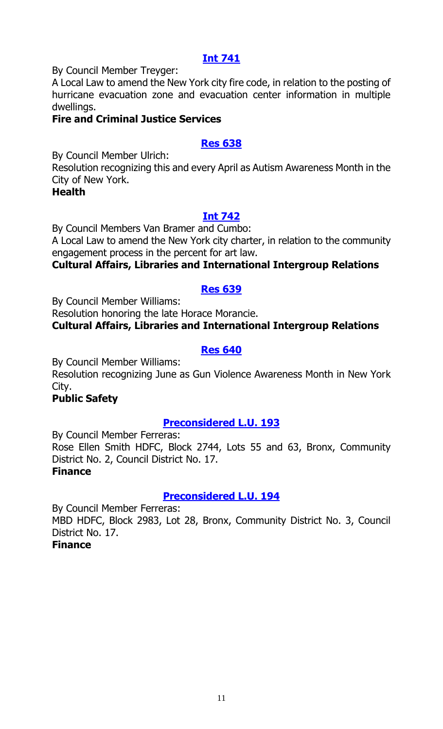# **[Int 741](http://legistar.council.nyc.gov/LegislationDetail.aspx?ID=2253269&GUID=AC4A8FD5-F8B2-4674-9F9F-E1EA830A7B80&Options=&Search=)**

By Council Member Treyger:

A Local Law to amend the New York city fire code, in relation to the posting of hurricane evacuation zone and evacuation center information in multiple dwellings.

# **Fire and Criminal Justice Services**

# **[Res 638](http://legistar.council.nyc.gov/LegislationDetail.aspx?ID=2253286&GUID=AB0ACF61-28FD-4242-A341-DD398C4228FC&Options=&Search=)**

By Council Member Ulrich:

Resolution recognizing this and every April as Autism Awareness Month in the City of New York.

**Health**

# **[Int 742](http://legistar.council.nyc.gov/LegislationDetail.aspx?ID=2253271&GUID=20101A0A-8A7F-414E-BC26-8344091CD92E&Options=&Search=)**

By Council Members Van Bramer and Cumbo: A Local Law to amend the New York city charter, in relation to the community engagement process in the percent for art law.

# **Cultural Affairs, Libraries and International Intergroup Relations**

# **[Res 639](http://legistar.council.nyc.gov/LegislationDetail.aspx?ID=2253281&GUID=5281B4FA-AB30-4345-B334-BAB4C0C66AB4&Options=&Search=)**

By Council Member Williams:

Resolution honoring the late Horace Morancie.

**Cultural Affairs, Libraries and International Intergroup Relations**

# **[Res 640](http://legistar.council.nyc.gov/LegislationDetail.aspx?ID=2253292&GUID=6A566A82-38F2-4E82-9C27-2682289205A3&Options=&Search=)**

By Council Member Williams:

Resolution recognizing June as Gun Violence Awareness Month in New York City.

# **Public Safety**

# **[Preconsidered L.U. 193](http://legistar.council.nyc.gov/LegislationDetail.aspx?ID=2249318&GUID=65AE20F1-2446-4BB6-9890-794C2BB06ED7&Options=&Search=)**

By Council Member Ferreras: Rose Ellen Smith HDFC, Block 2744, Lots 55 and 63, Bronx, Community District No. 2, Council District No. 17. **Finance**

# **[Preconsidered L.U. 194](http://legistar.council.nyc.gov/LegislationDetail.aspx?ID=2249317&GUID=0D17F0C2-ABA3-4E17-B938-179659A4610D&Options=&Search=)**

By Council Member Ferreras: MBD HDFC, Block 2983, Lot 28, Bronx, Community District No. 3, Council District No. 17. **Finance**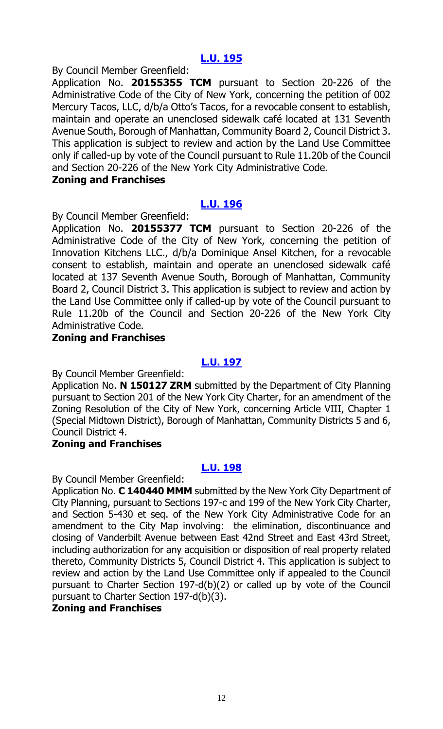# **[L.U. 195](http://legistar.council.nyc.gov/LegislationDetail.aspx?ID=2253197&GUID=07AF7D72-2A38-48F6-9EDF-DA72FEBDA4C3&Options=&Search=)**

By Council Member Greenfield:

Application No. **20155355 TCM** pursuant to Section 20-226 of the Administrative Code of the City of New York, concerning the petition of 002 Mercury Tacos, LLC, d/b/a Otto's Tacos, for a revocable consent to establish, maintain and operate an unenclosed sidewalk café located at 131 Seventh Avenue South, Borough of Manhattan, Community Board 2, Council District 3. This application is subject to review and action by the Land Use Committee only if called-up by vote of the Council pursuant to Rule 11.20b of the Council and Section 20-226 of the New York City Administrative Code.

# **Zoning and Franchises**

# **[L.U. 196](http://legistar.council.nyc.gov/LegislationDetail.aspx?ID=2253198&GUID=51222629-BBA6-48B9-AB4B-453EF6B98C84&Options=&Search=)**

By Council Member Greenfield:

Application No. **20155377 TCM** pursuant to Section 20-226 of the Administrative Code of the City of New York, concerning the petition of Innovation Kitchens LLC., d/b/a Dominique Ansel Kitchen, for a revocable consent to establish, maintain and operate an unenclosed sidewalk café located at 137 Seventh Avenue South, Borough of Manhattan, Community Board 2, Council District 3. This application is subject to review and action by the Land Use Committee only if called-up by vote of the Council pursuant to Rule 11.20b of the Council and Section 20-226 of the New York City Administrative Code.

#### **Zoning and Franchises**

#### **[L.U. 197](http://legistar.council.nyc.gov/LegislationDetail.aspx?ID=2253196&GUID=9B94395A-DD9F-47EE-A79C-CD0771DBDAC7&Options=&Search=)**

By Council Member Greenfield:

Application No. **N 150127 ZRM** submitted by the Department of City Planning pursuant to Section 201 of the New York City Charter, for an amendment of the Zoning Resolution of the City of New York, concerning Article VIII, Chapter 1 (Special Midtown District), Borough of Manhattan, Community Districts 5 and 6, Council District 4.

# **Zoning and Franchises**

# **[L.U. 198](http://legistar.council.nyc.gov/LegislationDetail.aspx?ID=2253200&GUID=0A6F4A31-A177-400D-8E64-9D58F2220FD4&Options=&Search=)**

By Council Member Greenfield:

Application No. **C 140440 MMM** submitted by the New York City Department of City Planning, pursuant to Sections 197-c and 199 of the New York City Charter, and Section 5-430 et seq. of the New York City Administrative Code for an amendment to the City Map involving: the elimination, discontinuance and closing of Vanderbilt Avenue between East 42nd Street and East 43rd Street, including authorization for any acquisition or disposition of real property related thereto, Community Districts 5, Council District 4. This application is subject to review and action by the Land Use Committee only if appealed to the Council pursuant to Charter Section 197-d(b)(2) or called up by vote of the Council pursuant to Charter Section 197-d(b)(3).

## **Zoning and Franchises**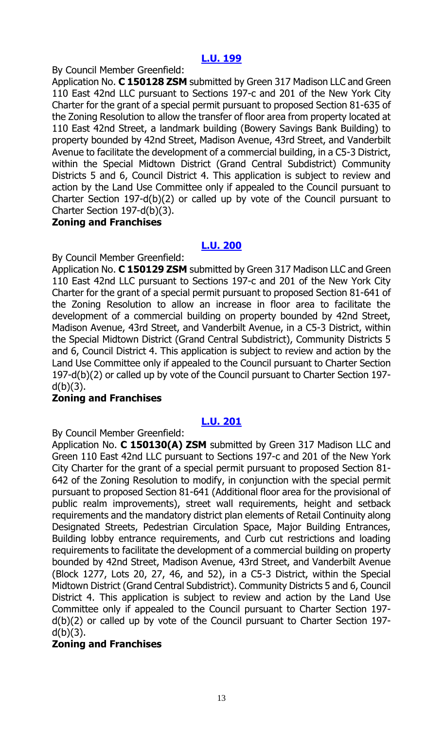# **[L.U. 199](http://legistar.council.nyc.gov/LegislationDetail.aspx?ID=2253201&GUID=D6BCB13C-9E40-45BB-855D-BB8F49B09920&Options=&Search=)**

By Council Member Greenfield:

Application No. **C 150128 ZSM** submitted by Green 317 Madison LLC and Green 110 East 42nd LLC pursuant to Sections 197-c and 201 of the New York City Charter for the grant of a special permit pursuant to proposed Section 81-635 of the Zoning Resolution to allow the transfer of floor area from property located at 110 East 42nd Street, a landmark building (Bowery Savings Bank Building) to property bounded by 42nd Street, Madison Avenue, 43rd Street, and Vanderbilt Avenue to facilitate the development of a commercial building, in a C5-3 District, within the Special Midtown District (Grand Central Subdistrict) Community Districts 5 and 6, Council District 4. This application is subject to review and action by the Land Use Committee only if appealed to the Council pursuant to Charter Section 197-d(b)(2) or called up by vote of the Council pursuant to Charter Section 197-d(b)(3).

# **Zoning and Franchises**

# **[L.U. 200](http://legistar.council.nyc.gov/LegislationDetail.aspx?ID=2253202&GUID=ED1E482B-EA5C-49FC-8328-BD0711DE5BB4&Options=&Search=)**

By Council Member Greenfield:

Application No. **C 150129 ZSM** submitted by Green 317 Madison LLC and Green 110 East 42nd LLC pursuant to Sections 197-c and 201 of the New York City Charter for the grant of a special permit pursuant to proposed Section 81-641 of the Zoning Resolution to allow an increase in floor area to facilitate the development of a commercial building on property bounded by 42nd Street, Madison Avenue, 43rd Street, and Vanderbilt Avenue, in a C5-3 District, within the Special Midtown District (Grand Central Subdistrict), Community Districts 5 and 6, Council District 4. This application is subject to review and action by the Land Use Committee only if appealed to the Council pursuant to Charter Section 197-d(b)(2) or called up by vote of the Council pursuant to Charter Section 197  $d(b)(3)$ .

# **Zoning and Franchises**

# **[L.U. 201](http://legistar.council.nyc.gov/LegislationDetail.aspx?ID=2253203&GUID=E42E4630-D7ED-4041-AA90-5CD91880F913&Options=&Search=)**

By Council Member Greenfield:

Application No. **C 150130(A) ZSM** submitted by Green 317 Madison LLC and Green 110 East 42nd LLC pursuant to Sections 197-c and 201 of the New York City Charter for the grant of a special permit pursuant to proposed Section 81- 642 of the Zoning Resolution to modify, in conjunction with the special permit pursuant to proposed Section 81-641 (Additional floor area for the provisional of public realm improvements), street wall requirements, height and setback requirements and the mandatory district plan elements of Retail Continuity along Designated Streets, Pedestrian Circulation Space, Major Building Entrances, Building lobby entrance requirements, and Curb cut restrictions and loading requirements to facilitate the development of a commercial building on property bounded by 42nd Street, Madison Avenue, 43rd Street, and Vanderbilt Avenue (Block 1277, Lots 20, 27, 46, and 52), in a C5-3 District, within the Special Midtown District (Grand Central Subdistrict). Community Districts 5 and 6, Council District 4. This application is subject to review and action by the Land Use Committee only if appealed to the Council pursuant to Charter Section 197 d(b)(2) or called up by vote of the Council pursuant to Charter Section 197  $d(b)(3)$ .

# **Zoning and Franchises**